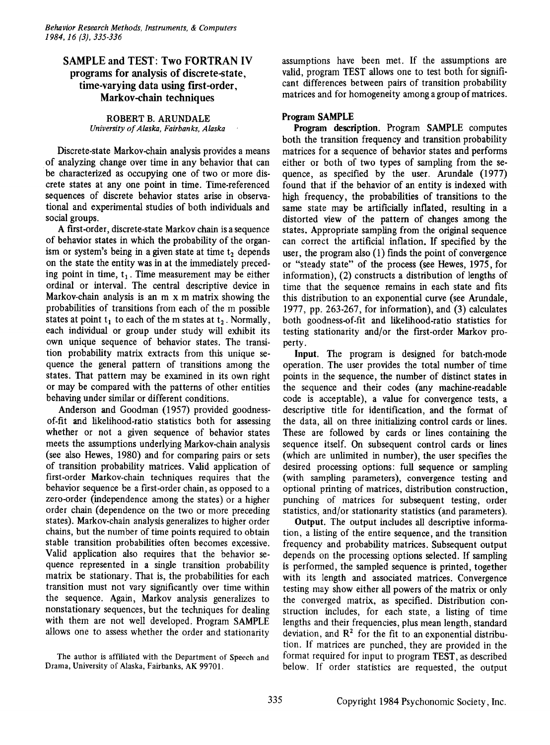# SAMPLE and TEST: Two FORTRAN IV programs for analysis of discrete-state, time-varying data using first-order, Markov-ehain techniques

ROBERT B. ARUNDALE *University ofAlaska, Fairbanks, Alaska*

Discrete-state Markov-chain analysis provides a means of analyzing change over time in any behavior that can be characterized as occupying one of two or more discrete states at anyone point in time. Time-referenced sequences of discrete behavior states arise in observational and experimental studies of both individuals and social groups.

A first-order, discrete-state Markov chain is a sequence of behavior states in which the probability of the organism or system's being in a given state at time  $t_2$  depends on the state the entity was in at the immediately preceding point in time,  $t_1$ . Time measurement may be either ordinal or interval. The central descriptive device in Markov-chain analysis is an m x m matrix showing the probabilities of transitions from each of the m possible states at point  $t_1$  to each of the m states at  $t_2$ . Normally, each individual or group under study will exhibit its own unique sequence of behavior states. The transition probability matrix extracts from this unique sequence the general pattern of transitions among the states. That pattern may be examined in its own right or may be compared with the patterns of other entities behaving under similar or different conditions.

Anderson and Goodman (1957) provided goodnessof-fit and likelihood-ratio statistics both for assessing whether or not a given sequence of behavior states meets the assumptions underlying Markov-chain analysis (see also Hewes, 1980) and for comparing pairs or sets of transition probability matrices. Valid application of first-order Markov-chain techniques requires that the behavior sequence be a first-order chain, as opposed to a zero-order (independence among the states) or a higher order chain (dependence on the two or more preceding states). Markov-chain analysis generalizes to higher order chains, but the number of time points required to obtain stable transition probabilities often becomes excessive. Valid application also requires that the behavior sequence represented in a single transition probability matrix be stationary. That is, the probabilities for each transition must not vary significantly over time within the sequence. Again, Markov analysis generalizes to nonstationary sequences, but the techniques for dealing with them are not well developed. Program SAMPLE allows one to assess whether the order and stationarity

The author is affiliated with the Department of Speech and Drama, University of Alaska, Fairbanks, AK 99701.

assumptions have been met. If the assumptions are valid, program TEST allows one to test both for significant differences between pairs of transition probability matrices and for homogeneity among a group of matrices.

## Program SAMPLE

Program description. Program SAMPLE computes both the transition frequency and transition probability matrices for a sequence of behavior states and performs either or both of two types of sampling from the sequence, as specified by the user. Arundale (1977) found that if the behavior of an entity is indexed with high frequency, the probabilities of transitions to the same state may be artificially inflated, resulting in a distorted view of the pattern of changes among the states. Appropriate sampling from the original sequence can correct the artificial inflation. If specified by the user, the program also (1) finds the point of convergence or "steady state" of the process (see Hewes, 1975, for information), (2) constructs a distribution of lengths of time that the sequence remains in each state and fits this distribution to an exponential curve (see Arundale, 1977, pp. 263-267, for information), and (3) calculates both goodness-of-fit and likelihood-ratio statistics for testing stationarity and/or the first-order Markov property.

Input. The program is designed for batch-mode operation. The user provides the total number of time points in the sequence, the number of distinct states in the sequence and their codes (any machine-readable code is acceptable), a value for convergence tests, a descriptive title for identification, and the format of the data, all on three initializing control cards or lines. These are followed by cards or lines containing the sequence itself. On subsequent control cards or lines (which are unlimited in number), the user specifies the desired processing options: full sequence or sampling (with sampling parameters), convergence testing and optional printing of matrices, distribution construction, punching of matrices for subsequent testing, order statistics, and/or stationarity statistics (and parameters).

Output. The output includes all descriptive information, a listing of the entire sequence, and the transition frequency and probability matrices. Subsequent output depends on the processing options selected. If sampling is performed, the sampled sequence is printed, together with its length and associated matrices. Convergence testing may show either all powers of the matrix or only the converged matrix, as specified. Distribution construction includes, for each state, a listing of time lengths and their frequencies, plus mean length, standard deviation, and  $\mathbb{R}^2$  for the fit to an exponential distribution. If matrices are punched, they are provided in the format required for input to program TEST, as described below. If order statistics are requested, the output